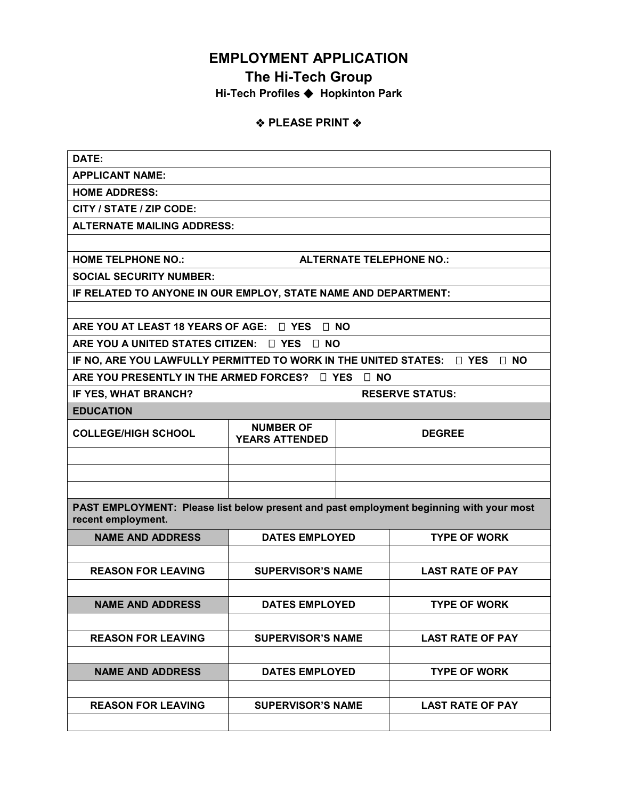# **EMPLOYMENT APPLICATION**

## **The Hi-Tech Group**

**Hi-Tech Profiles Hopkinton Park**

### **❖ PLEASE PRINT ❖**

| DATE:                                                                                                         |                                           |               |                         |  |  |  |  |
|---------------------------------------------------------------------------------------------------------------|-------------------------------------------|---------------|-------------------------|--|--|--|--|
| <b>APPLICANT NAME:</b>                                                                                        |                                           |               |                         |  |  |  |  |
| <b>HOME ADDRESS:</b>                                                                                          |                                           |               |                         |  |  |  |  |
| CITY / STATE / ZIP CODE:                                                                                      |                                           |               |                         |  |  |  |  |
| <b>ALTERNATE MAILING ADDRESS:</b>                                                                             |                                           |               |                         |  |  |  |  |
|                                                                                                               |                                           |               |                         |  |  |  |  |
| <b>HOME TELPHONE NO.:</b><br><b>ALTERNATE TELEPHONE NO.:</b>                                                  |                                           |               |                         |  |  |  |  |
| <b>SOCIAL SECURITY NUMBER:</b>                                                                                |                                           |               |                         |  |  |  |  |
| IF RELATED TO ANYONE IN OUR EMPLOY, STATE NAME AND DEPARTMENT:                                                |                                           |               |                         |  |  |  |  |
|                                                                                                               |                                           |               |                         |  |  |  |  |
| ARE YOU AT LEAST 18 YEARS OF AGE: $\Box$ YES<br>$\Box$ NO                                                     |                                           |               |                         |  |  |  |  |
| ARE YOU A UNITED STATES CITIZEN: $\Box$ YES<br>$\Box$ NO                                                      |                                           |               |                         |  |  |  |  |
| IF NO, ARE YOU LAWFULLY PERMITTED TO WORK IN THE UNITED STATES:<br>$\Box$ YES<br>$\Box$ NO                    |                                           |               |                         |  |  |  |  |
| ARE YOU PRESENTLY IN THE ARMED FORCES?<br>$\sqcap$ YES<br>⊟ NO                                                |                                           |               |                         |  |  |  |  |
| IF YES, WHAT BRANCH?<br><b>RESERVE STATUS:</b>                                                                |                                           |               |                         |  |  |  |  |
| <b>EDUCATION</b>                                                                                              |                                           |               |                         |  |  |  |  |
| <b>COLLEGE/HIGH SCHOOL</b>                                                                                    | <b>NUMBER OF</b><br><b>YEARS ATTENDED</b> | <b>DEGREE</b> |                         |  |  |  |  |
|                                                                                                               |                                           |               |                         |  |  |  |  |
|                                                                                                               |                                           |               |                         |  |  |  |  |
|                                                                                                               |                                           |               |                         |  |  |  |  |
| PAST EMPLOYMENT: Please list below present and past employment beginning with your most<br>recent employment. |                                           |               |                         |  |  |  |  |
| <b>NAME AND ADDRESS</b>                                                                                       | <b>DATES EMPLOYED</b>                     |               | <b>TYPE OF WORK</b>     |  |  |  |  |
|                                                                                                               |                                           |               |                         |  |  |  |  |
| <b>REASON FOR LEAVING</b>                                                                                     | <b>SUPERVISOR'S NAME</b>                  |               | <b>LAST RATE OF PAY</b> |  |  |  |  |
|                                                                                                               |                                           |               |                         |  |  |  |  |
| <b>NAME AND ADDRESS</b>                                                                                       | <b>DATES EMPLOYED</b>                     |               | <b>TYPE OF WORK</b>     |  |  |  |  |
|                                                                                                               |                                           |               |                         |  |  |  |  |
| <b>REASON FOR LEAVING</b>                                                                                     | <b>SUPERVISOR'S NAME</b>                  |               | <b>LAST RATE OF PAY</b> |  |  |  |  |
|                                                                                                               |                                           |               |                         |  |  |  |  |
| <b>NAME AND ADDRESS</b>                                                                                       | <b>DATES EMPLOYED</b>                     |               | <b>TYPE OF WORK</b>     |  |  |  |  |
|                                                                                                               |                                           |               |                         |  |  |  |  |
| <b>REASON FOR LEAVING</b>                                                                                     | <b>SUPERVISOR'S NAME</b>                  |               | <b>LAST RATE OF PAY</b> |  |  |  |  |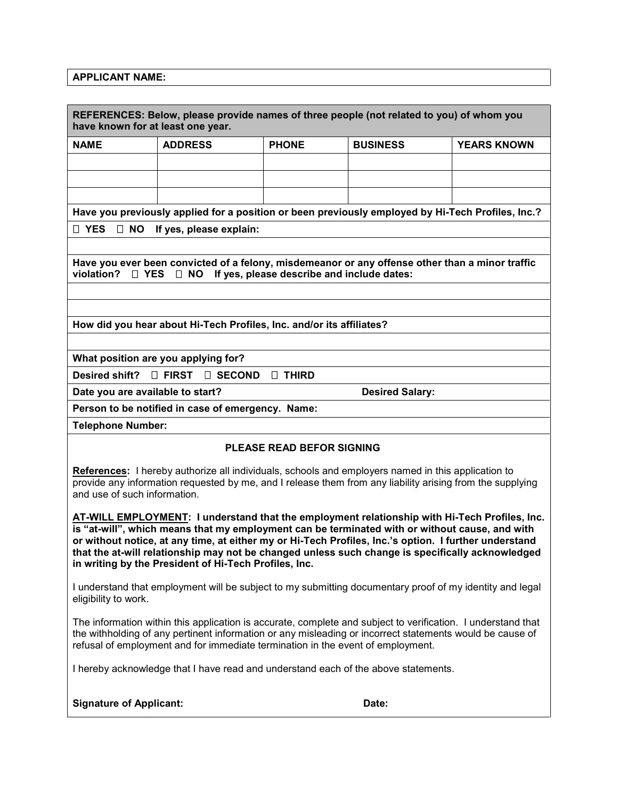#### **APPLICANT NAME:**

| REFERENCES: Below, please provide names of three people (not related to you) of whom you<br>have known for at least one year.                                                                                                                                                                                                                                                                                                                                         |                                         |              |                 |                    |  |  |  |
|-----------------------------------------------------------------------------------------------------------------------------------------------------------------------------------------------------------------------------------------------------------------------------------------------------------------------------------------------------------------------------------------------------------------------------------------------------------------------|-----------------------------------------|--------------|-----------------|--------------------|--|--|--|
| <b>NAME</b>                                                                                                                                                                                                                                                                                                                                                                                                                                                           | <b>ADDRESS</b>                          | <b>PHONE</b> | <b>BUSINESS</b> | <b>YEARS KNOWN</b> |  |  |  |
|                                                                                                                                                                                                                                                                                                                                                                                                                                                                       |                                         |              |                 |                    |  |  |  |
|                                                                                                                                                                                                                                                                                                                                                                                                                                                                       |                                         |              |                 |                    |  |  |  |
|                                                                                                                                                                                                                                                                                                                                                                                                                                                                       |                                         |              |                 |                    |  |  |  |
| Have you previously applied for a position or been previously employed by Hi-Tech Profiles, Inc.?                                                                                                                                                                                                                                                                                                                                                                     |                                         |              |                 |                    |  |  |  |
| □ YES □ NO<br>If yes, please explain:                                                                                                                                                                                                                                                                                                                                                                                                                                 |                                         |              |                 |                    |  |  |  |
|                                                                                                                                                                                                                                                                                                                                                                                                                                                                       |                                         |              |                 |                    |  |  |  |
| Have you ever been convicted of a felony, misdemeanor or any offense other than a minor traffic<br>violation?<br>If yes, please describe and include dates:<br>□ YES<br>$\Box$ NO                                                                                                                                                                                                                                                                                     |                                         |              |                 |                    |  |  |  |
|                                                                                                                                                                                                                                                                                                                                                                                                                                                                       |                                         |              |                 |                    |  |  |  |
|                                                                                                                                                                                                                                                                                                                                                                                                                                                                       |                                         |              |                 |                    |  |  |  |
| How did you hear about Hi-Tech Profiles, Inc. and/or its affiliates?                                                                                                                                                                                                                                                                                                                                                                                                  |                                         |              |                 |                    |  |  |  |
|                                                                                                                                                                                                                                                                                                                                                                                                                                                                       |                                         |              |                 |                    |  |  |  |
| What position are you applying for?                                                                                                                                                                                                                                                                                                                                                                                                                                   |                                         |              |                 |                    |  |  |  |
| Desired shift?<br>$\Box$ FIRST<br>$\Box$ SECOND<br><b>D THIRD</b>                                                                                                                                                                                                                                                                                                                                                                                                     |                                         |              |                 |                    |  |  |  |
| Date you are available to start?<br><b>Desired Salary:</b>                                                                                                                                                                                                                                                                                                                                                                                                            |                                         |              |                 |                    |  |  |  |
| Person to be notified in case of emergency. Name:                                                                                                                                                                                                                                                                                                                                                                                                                     |                                         |              |                 |                    |  |  |  |
| <b>Telephone Number:</b>                                                                                                                                                                                                                                                                                                                                                                                                                                              |                                         |              |                 |                    |  |  |  |
| <b>PLEASE READ BEFOR SIGNING</b>                                                                                                                                                                                                                                                                                                                                                                                                                                      |                                         |              |                 |                    |  |  |  |
| References: I hereby authorize all individuals, schools and employers named in this application to<br>provide any information requested by me, and I release them from any liability arising from the supplying<br>and use of such information.                                                                                                                                                                                                                       |                                         |              |                 |                    |  |  |  |
| AT-WILL EMPLOYMENT: I understand that the employment relationship with Hi-Tech Profiles, Inc.<br>is "at-will", which means that my employment can be terminated with or without cause, and with<br>or without notice, at any time, at either my or Hi-Tech Profiles, Inc.'s option. I further understand<br>that the at-will relationship may not be changed unless such change is specifically acknowledged<br>in writing by the President of Hi-Tech Profiles, Inc. |                                         |              |                 |                    |  |  |  |
| I understand that employment will be subject to my submitting documentary proof of my identity and legal<br>eligibility to work.                                                                                                                                                                                                                                                                                                                                      |                                         |              |                 |                    |  |  |  |
| The information within this application is accurate, complete and subject to verification. I understand that<br>the withholding of any pertinent information or any misleading or incorrect statements would be cause of<br>refusal of employment and for immediate termination in the event of employment.                                                                                                                                                           |                                         |              |                 |                    |  |  |  |
| I hereby acknowledge that I have read and understand each of the above statements.                                                                                                                                                                                                                                                                                                                                                                                    |                                         |              |                 |                    |  |  |  |
|                                                                                                                                                                                                                                                                                                                                                                                                                                                                       | <b>Signature of Applicant:</b><br>Date: |              |                 |                    |  |  |  |